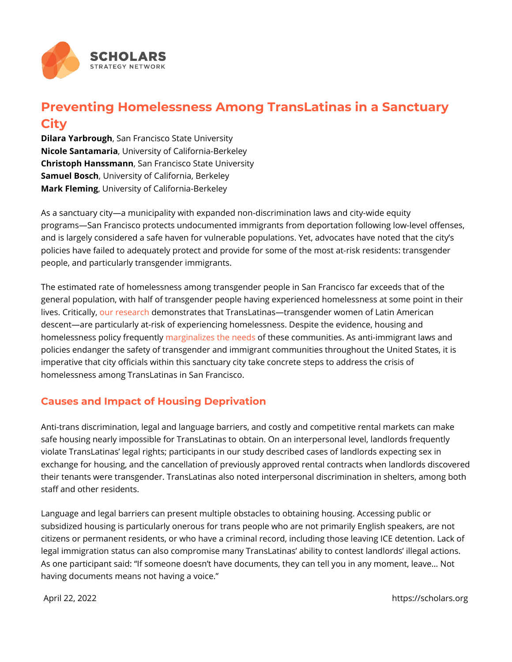## Preventing Homelessness Among TransLatinas in a S City

Dilara Yarbro Sgah Francisco State University Nicole Santam a Uniaversity of California-Berkeley Christoph HanssmSaam Francisco State University Samuel Bosdhiversity of California, Berkeley Mark FleminUgniversity of California-Berkeley

As a sanctuary city a municipality with expanded non-discrimination laws and  $\alpha$ programs San Francisco protects undocumented immigrants from deportation fo and is largely considered a safe haven for vulnerable populations. Yet, advoca policies have failed to adequately protect and provide for some of the most atpeople, and particularly transgender immigrants.

The estimated rate of homelessness among transgender people in San Francisc general population, with half of transgender people having experienced homele lives. Crito anly eseade monstrates that TransLatinas transgender women of Latin descent are particularly at-risk of experiencing homelessness. Despite the evihomelessness policy marguently es theometeds communities. As anti-immigrant laws and the needs and the new theorem is and the new theorem is and the new theorem is and the new theorem is and the new theorem is and the new policies endanger the safety of transgender and immigrant communities throug imperative that city officials within this sanctuary city take concrete steps to a homelessness among TransLatinas in San Francisco.

## Causes and Impact of Housing Deprivation

Anti-trans discrimination, legal and language barriers, and costly and competit safe housing nearly impossible for TransLatinas to obtain. On an interpersonal violate TransLatinas legal rights; participants in our study described cases of exchange for housing, and the cancellation of previously approved rental contr their tenants were transgender. TransLatinas also noted interpersonal discrimi staff and other residents.

Language and legal barriers can present multiple obstacles to obtaining housin subsidized housing is particularly onerous for trans people who are not primar citizens or permanent residents, or who have a criminal record, including thos legal immigration status can also compromise many TransLatinas ability to co As one participant said: If someone doesn t have documents, they can tell you having documents means not having a voice.

April 22, 2022 https://scholars.org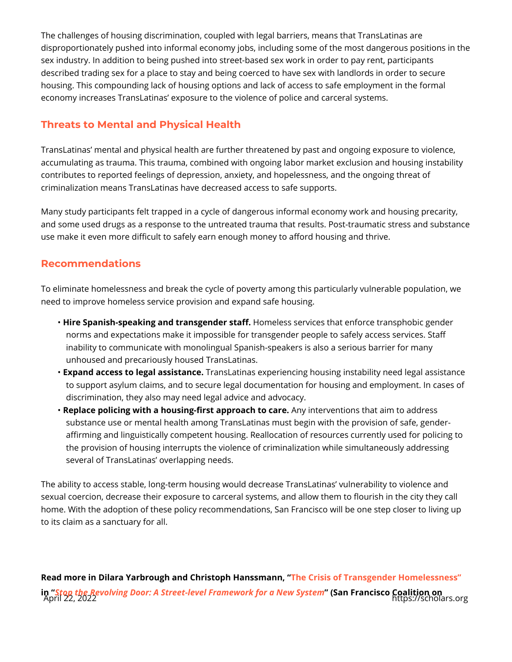The challenges of housing discrimination, coupled with legal barriers, means t disproportionately pushed into informal economy jobs, including some of the m sex industry. In addition to being pushed into street-based sex work in order t described trading sex for a place to stay and being coerced to have sex with I; housing. This compounding lack of housing options and lack of access to safe economy increases TransLatinas exposure to the violence of police and carce

## Threats to Mental and Physical Health

TransLatinas mental and physical health are further threatened by past and on accumulating as trauma. This trauma, combined with ongoing labor market excl contributes to reported feelings of depression, anxiety, and hopelessness, and criminalization means TransLatinas have decreased access to safe supports.

Many study participants felt trapped in a cycle of dangerous informal economy and some used drugs as a response to the untreated trauma that results. Postuse make it even more difficult to safely earn enough money to afford housing

## Recommendations

To eliminate homelessness and break the cycle of poverty among this particula need to improve homeless service provision and expand safe housing.

- "Hire Spanish-speaking and trans<del>l</del>geemeleers stastefrivices that enforce transphobic norms and expectations make it impossible for transgender people to safel inability to communicate with monolingual Spanish-speakers is also a serio unhoused and precariously housed TransLatinas.
- "Expand access to legal **asansstamtie**nas experiencing housing instability need to support asylum claims, and to secure legal documentation for housing a discrimination, they also may need legal advice and advocacy.
- "Replace policing with a housing-first aAppoyoianothertowenctaionens that aim to addres substance use or mental health among TransLatinas must begin with the provision affirming and linguistically competent housing. Reallocation of resources o the provision of housing interrupts the violence of criminalization while si several of TransLatinas overlapping needs.

The ability to access stable, long-term housing would decrease TransLatinas **value** sexual coercion, decrease their exposure to carceral systems, and allow them home. With the adoption of these policy recommendations, San Francisco will b to its claim as a sanctuary for all.

Read more in Dilara Yarbrough and Christophe Hoanssis moanTiransgender Homelessr in [Stop the Revolving Door: A Street-level Fram](https://www.cohsf.org/wp-content/uploads/2020/11/Stop-the-Revolving-1.pdf)ew Sah for a Rise of Sycsetring on any April 22, 2022